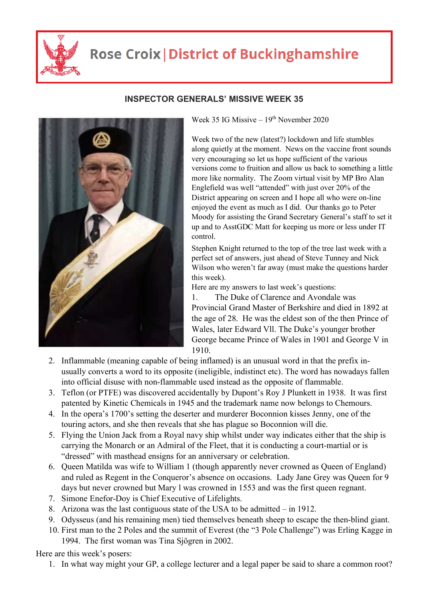

## **Rose Croix | District of Buckinghamshire**



## **INSPECTOR GENERALS' MISSIVE WEEK 35**

Week 35 IG Missive –  $19<sup>th</sup>$  November 2020

Week two of the new (latest?) lockdown and life stumbles along quietly at the moment. News on the vaccine front sounds very encouraging so let us hope sufficient of the various versions come to fruition and allow us back to something a little more like normality. The Zoom virtual visit by MP Bro Alan Englefield was well "attended" with just over 20% of the District appearing on screen and I hope all who were on-line enjoyed the event as much as I did. Our thanks go to Peter Moody for assisting the Grand Secretary General's staff to set it up and to AsstGDC Matt for keeping us more or less under IT control.

Stephen Knight returned to the top of the tree last week with a perfect set of answers, just ahead of Steve Tunney and Nick Wilson who weren't far away (must make the questions harder this week).

Here are my answers to last week's questions:

1. The Duke of Clarence and Avondale was Provincial Grand Master of Berkshire and died in 1892 at the age of 28. He was the eldest son of the then Prince of Wales, later Edward Vll. The Duke's younger brother George became Prince of Wales in 1901 and George V in 1910.

- 2. Inflammable (meaning capable of being inflamed) is an unusual word in that the prefix inusually converts a word to its opposite (ineligible, indistinct etc). The word has nowadays fallen into official disuse with non-flammable used instead as the opposite of flammable.
- 3. Teflon (or PTFE) was discovered accidentally by Dupont's Roy J Plunkett in 1938. It was first patented by Kinetic Chemicals in 1945 and the trademark name now belongs to Chemours.
- 4. In the opera's 1700's setting the deserter and murderer Boconnion kisses Jenny, one of the touring actors, and she then reveals that she has plague so Boconnion will die.
- 5. Flying the Union Jack from a Royal navy ship whilst under way indicates either that the ship is carrying the Monarch or an Admiral of the Fleet, that it is conducting a court-martial or is "dressed" with masthead ensigns for an anniversary or celebration.
- 6. Queen Matilda was wife to William 1 (though apparently never crowned as Queen of England) and ruled as Regent in the Conqueror's absence on occasions. Lady Jane Grey was Queen for 9 days but never crowned but Mary l was crowned in 1553 and was the first queen regnant.
- 7. Simone Enefor-Doy is Chief Executive of Lifelights.
- 8. Arizona was the last contiguous state of the USA to be admitted in 1912.
- 9. Odysseus (and his remaining men) tied themselves beneath sheep to escape the then-blind giant.
- 10. First man to the 2 Poles and the summit of Everest (the "3 Pole Challenge") was Erling Kagge in 1994. The first woman was Tina Sjögren in 2002.

Here are this week's posers:

1. In what way might your GP, a college lecturer and a legal paper be said to share a common root?